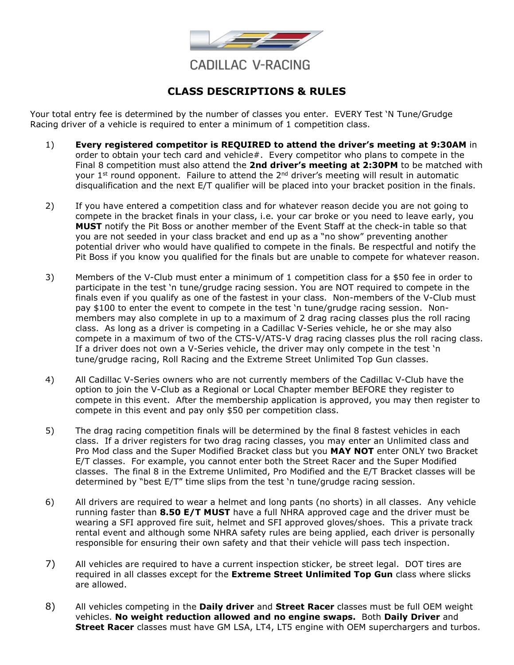

### **CLASS DESCRIPTIONS & RULES**

Your total entry fee is determined by the number of classes you enter. EVERY Test 'N Tune/Grudge Racing driver of a vehicle is required to enter a minimum of 1 competition class.

- 1) **Every registered competitor is REQUIRED to attend the driver's meeting at 9:30AM** in order to obtain your tech card and vehicle#. Every competitor who plans to compete in the Final 8 competition must also attend the **2nd driver's meeting at 2:30PM** to be matched with your 1<sup>st</sup> round opponent. Failure to attend the  $2^{nd}$  driver's meeting will result in automatic disqualification and the next E/T qualifier will be placed into your bracket position in the finals.
- 2) If you have entered a competition class and for whatever reason decide you are not going to compete in the bracket finals in your class, i.e. your car broke or you need to leave early, you **MUST** notify the Pit Boss or another member of the Event Staff at the check-in table so that you are not seeded in your class bracket and end up as a "no show" preventing another potential driver who would have qualified to compete in the finals. Be respectful and notify the Pit Boss if you know you qualified for the finals but are unable to compete for whatever reason.
- 3) Members of the V-Club must enter a minimum of 1 competition class for a \$50 fee in order to participate in the test 'n tune/grudge racing session. You are NOT required to compete in the finals even if you qualify as one of the fastest in your class. Non-members of the V-Club must pay \$100 to enter the event to compete in the test 'n tune/grudge racing session. Nonmembers may also complete in up to a maximum of 2 drag racing classes plus the roll racing class. As long as a driver is competing in a Cadillac V-Series vehicle, he or she may also compete in a maximum of two of the CTS-V/ATS-V drag racing classes plus the roll racing class. If a driver does not own a V-Series vehicle, the driver may only compete in the test 'n tune/grudge racing, Roll Racing and the Extreme Street Unlimited Top Gun classes.
- 4) All Cadillac V-Series owners who are not currently members of the Cadillac V-Club have the option to join the V-Club as a Regional or Local Chapter member BEFORE they register to compete in this event. After the membership application is approved, you may then register to compete in this event and pay only \$50 per competition class.
- 5) The drag racing competition finals will be determined by the final 8 fastest vehicles in each class. If a driver registers for two drag racing classes, you may enter an Unlimited class and Pro Mod class and the Super Modified Bracket class but you **MAY NOT** enter ONLY two Bracket E/T classes. For example, you cannot enter both the Street Racer and the Super Modified classes. The final 8 in the Extreme Unlimited, Pro Modified and the E/T Bracket classes will be determined by "best E/T" time slips from the test 'n tune/grudge racing session.
- 6) All drivers are required to wear a helmet and long pants (no shorts) in all classes. Any vehicle running faster than **8.50 E/T MUST** have a full NHRA approved cage and the driver must be wearing a SFI approved fire suit, helmet and SFI approved gloves/shoes. This a private track rental event and although some NHRA safety rules are being applied, each driver is personally responsible for ensuring their own safety and that their vehicle will pass tech inspection.
- 7) All vehicles are required to have a current inspection sticker, be street legal. DOT tires are required in all classes except for the **Extreme Street Unlimited Top Gun** class where slicks are allowed.
- 8) All vehicles competing in the **Daily driver** and **Street Racer** classes must be full OEM weight vehicles. **No weight reduction allowed and no engine swaps.** Both **Daily Driver** and **Street Racer** classes must have GM LSA, LT4, LT5 engine with OEM superchargers and turbos.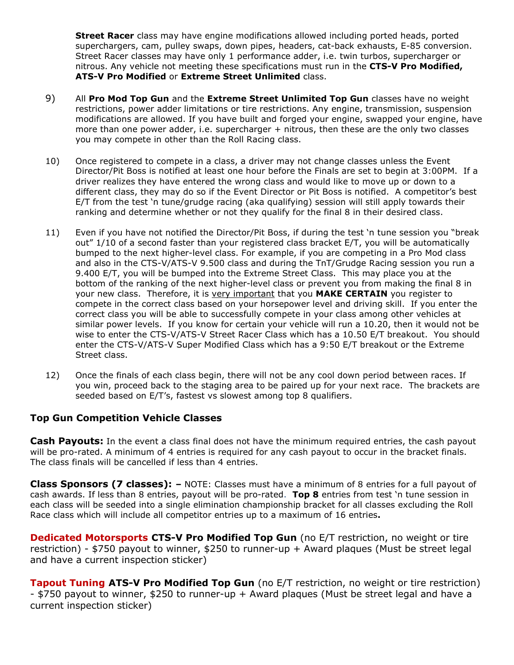**Street Racer** class may have engine modifications allowed including ported heads, ported superchargers, cam, pulley swaps, down pipes, headers, cat-back exhausts, E-85 conversion. Street Racer classes may have only 1 performance adder, i.e. twin turbos, supercharger or nitrous. Any vehicle not meeting these specifications must run in the **CTS-V Pro Modified, ATS-V Pro Modified** or **Extreme Street Unlimited** class.

- 9) All **Pro Mod Top Gun** and the **Extreme Street Unlimited Top Gun** classes have no weight restrictions, power adder limitations or tire restrictions. Any engine, transmission, suspension modifications are allowed. If you have built and forged your engine, swapped your engine, have more than one power adder, i.e. supercharger + nitrous, then these are the only two classes you may compete in other than the Roll Racing class.
- 10) Once registered to compete in a class, a driver may not change classes unless the Event Director/Pit Boss is notified at least one hour before the Finals are set to begin at 3:00PM. If a driver realizes they have entered the wrong class and would like to move up or down to a different class, they may do so if the Event Director or Pit Boss is notified. A competitor's best E/T from the test 'n tune/grudge racing (aka qualifying) session will still apply towards their ranking and determine whether or not they qualify for the final 8 in their desired class.
- 11) Even if you have not notified the Director/Pit Boss, if during the test 'n tune session you "break out" 1/10 of a second faster than your registered class bracket E/T, you will be automatically bumped to the next higher-level class. For example, if you are competing in a Pro Mod class and also in the CTS-V/ATS-V 9.500 class and during the TnT/Grudge Racing session you run a 9.400 E/T, you will be bumped into the Extreme Street Class. This may place you at the bottom of the ranking of the next higher-level class or prevent you from making the final 8 in your new class. Therefore, it is very important that you **MAKE CERTAIN** you register to compete in the correct class based on your horsepower level and driving skill. If you enter the correct class you will be able to successfully compete in your class among other vehicles at similar power levels. If you know for certain your vehicle will run a 10.20, then it would not be wise to enter the CTS-V/ATS-V Street Racer Class which has a 10.50 E/T breakout. You should enter the CTS-V/ATS-V Super Modified Class which has a 9:50 E/T breakout or the Extreme Street class.
- 12) Once the finals of each class begin, there will not be any cool down period between races. If you win, proceed back to the staging area to be paired up for your next race. The brackets are seeded based on E/T's, fastest vs slowest among top 8 qualifiers.

#### **Top Gun Competition Vehicle Classes**

**Cash Payouts:** In the event a class final does not have the minimum required entries, the cash payout will be pro-rated. A minimum of 4 entries is required for any cash payout to occur in the bracket finals. The class finals will be cancelled if less than 4 entries.

**Class Sponsors (7 classes): –** NOTE: Classes must have a minimum of 8 entries for a full payout of cash awards. If less than 8 entries, payout will be pro-rated. **Top 8** entries from test 'n tune session in each class will be seeded into a single elimination championship bracket for all classes excluding the Roll Race class which will include all competitor entries up to a maximum of 16 entries**.**

**Dedicated Motorsports CTS-V Pro Modified Top Gun** (no E/T restriction, no weight or tire restriction) - \$750 payout to winner, \$250 to runner-up + Award plaques (Must be street legal and have a current inspection sticker)

**Tapout Tuning ATS-V Pro Modified Top Gun** (no E/T restriction, no weight or tire restriction) - \$750 payout to winner, \$250 to runner-up + Award plaques (Must be street legal and have a current inspection sticker)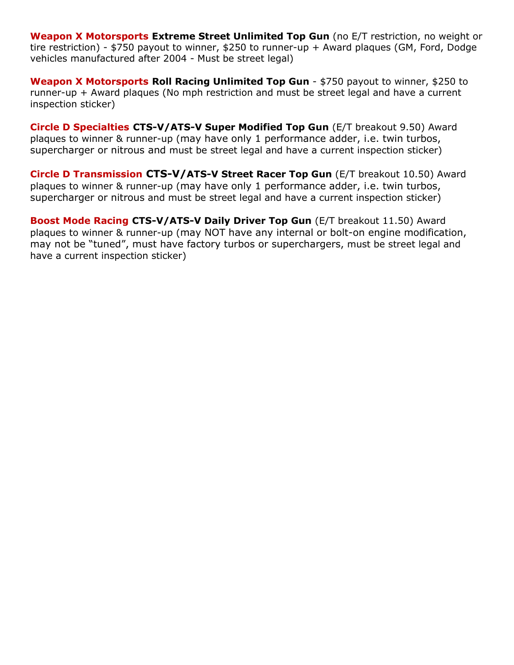**Weapon X Motorsports Extreme Street Unlimited Top Gun** (no E/T restriction, no weight or tire restriction) - \$750 payout to winner, \$250 to runner-up + Award plaques (GM, Ford, Dodge vehicles manufactured after 2004 - Must be street legal)

**Weapon X Motorsports Roll Racing Unlimited Top Gun** - \$750 payout to winner, \$250 to runner-up + Award plaques (No mph restriction and must be street legal and have a current inspection sticker)

**Circle D Specialties CTS-V/ATS-V Super Modified Top Gun** (E/T breakout 9.50) Award plaques to winner & runner-up (may have only 1 performance adder, i.e. twin turbos, supercharger or nitrous and must be street legal and have a current inspection sticker)

**Circle D Transmission CTS-V/ATS-V Street Racer Top Gun** (E/T breakout 10.50) Award plaques to winner & runner-up (may have only 1 performance adder, i.e. twin turbos, supercharger or nitrous and must be street legal and have a current inspection sticker)

**Boost Mode Racing CTS-V/ATS-V Daily Driver Top Gun** (E/T breakout 11.50) Award plaques to winner & runner-up (may NOT have any internal or bolt-on engine modification, may not be "tuned", must have factory turbos or superchargers, must be street legal and have a current inspection sticker)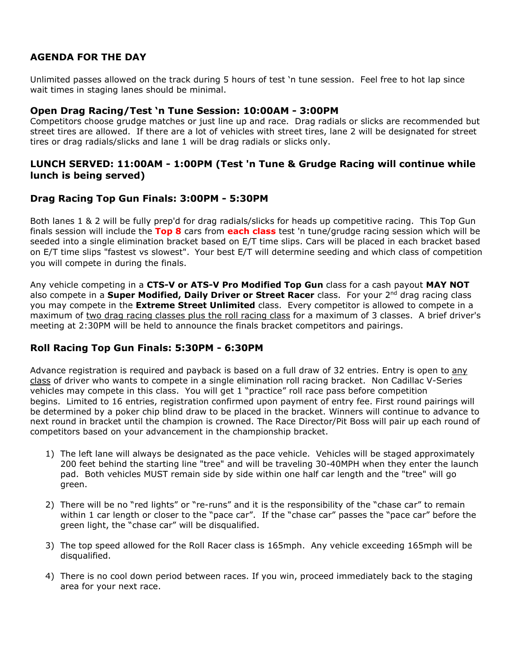#### **AGENDA FOR THE DAY**

Unlimited passes allowed on the track during 5 hours of test 'n tune session. Feel free to hot lap since wait times in staging lanes should be minimal.

#### **Open Drag Racing/Test 'n Tune Session: 10:00AM - 3:00PM**

Competitors choose grudge matches or just line up and race. Drag radials or slicks are recommended but street tires are allowed. If there are a lot of vehicles with street tires, lane 2 will be designated for street tires or drag radials/slicks and lane 1 will be drag radials or slicks only.

#### **LUNCH SERVED: 11:00AM - 1:00PM (Test 'n Tune & Grudge Racing will continue while lunch is being served)**

#### **Drag Racing Top Gun Finals: 3:00PM - 5:30PM**

Both lanes 1 & 2 will be fully prep'd for drag radials/slicks for heads up competitive racing. This Top Gun finals session will include the **Top 8** cars from **each class** test 'n tune/grudge racing session which will be seeded into a single elimination bracket based on E/T time slips. Cars will be placed in each bracket based on E/T time slips "fastest vs slowest". Your best E/T will determine seeding and which class of competition you will compete in during the finals.

Any vehicle competing in a **CTS-V or ATS-V Pro Modified Top Gun** class for a cash payout **MAY NOT** also compete in a **Super Modified, Daily Driver or Street Racer** class. For your 2nd drag racing class you may compete in the **Extreme Street Unlimited** class. Every competitor is allowed to compete in a maximum of two drag racing classes plus the roll racing class for a maximum of 3 classes. A brief driver's meeting at 2:30PM will be held to announce the finals bracket competitors and pairings.

#### **Roll Racing Top Gun Finals: 5:30PM - 6:30PM**

Advance registration is required and payback is based on a full draw of 32 entries. Entry is open to any class of driver who wants to compete in a single elimination roll racing bracket. Non Cadillac V-Series vehicles may compete in this class. You will get 1 "practice" roll race pass before competition begins. Limited to 16 entries, registration confirmed upon payment of entry fee. First round pairings will be determined by a poker chip blind draw to be placed in the bracket. Winners will continue to advance to next round in bracket until the champion is crowned. The Race Director/Pit Boss will pair up each round of competitors based on your advancement in the championship bracket.

- 1) The left lane will always be designated as the pace vehicle. Vehicles will be staged approximately 200 feet behind the starting line "tree" and will be traveling 30-40MPH when they enter the launch pad. Both vehicles MUST remain side by side within one half car length and the "tree" will go green.
- 2) There will be no "red lights" or "re-runs" and it is the responsibility of the "chase car" to remain within 1 car length or closer to the "pace car". If the "chase car" passes the "pace car" before the green light, the "chase car" will be disqualified.
- 3) The top speed allowed for the Roll Racer class is 165mph. Any vehicle exceeding 165mph will be disqualified.
- 4) There is no cool down period between races. If you win, proceed immediately back to the staging area for your next race.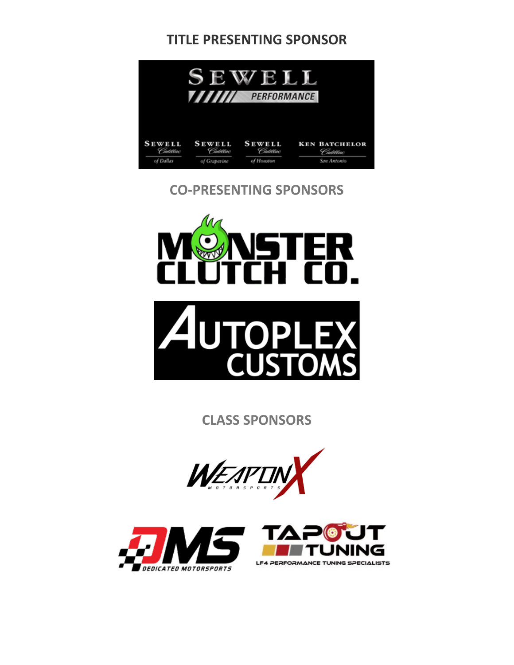## **TITLE PRESENTING SPONSOR**



### **CO-PRESENTING SPONSORS**



**CLASS SPONSORS**